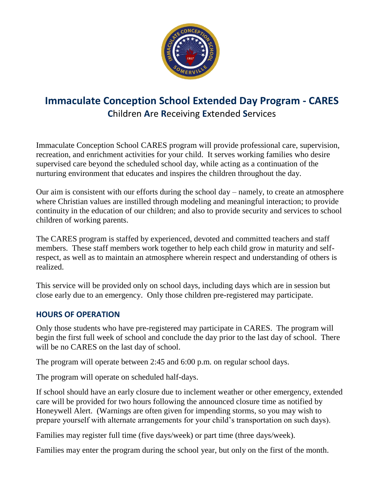

# **Immaculate Conception School Extended Day Program - CARES C**hildren **A**re **R**eceiving **E**xtended **S**ervices

Immaculate Conception School CARES program will provide professional care, supervision, recreation, and enrichment activities for your child. It serves working families who desire supervised care beyond the scheduled school day, while acting as a continuation of the nurturing environment that educates and inspires the children throughout the day.

Our aim is consistent with our efforts during the school day – namely, to create an atmosphere where Christian values are instilled through modeling and meaningful interaction; to provide continuity in the education of our children; and also to provide security and services to school children of working parents.

The CARES program is staffed by experienced, devoted and committed teachers and staff members. These staff members work together to help each child grow in maturity and selfrespect, as well as to maintain an atmosphere wherein respect and understanding of others is realized.

This service will be provided only on school days, including days which are in session but close early due to an emergency. Only those children pre-registered may participate.

## **HOURS OF OPERATION**

Only those students who have pre-registered may participate in CARES. The program will begin the first full week of school and conclude the day prior to the last day of school. There will be no CARES on the last day of school.

The program will operate between 2:45 and 6:00 p.m. on regular school days.

The program will operate on scheduled half-days.

If school should have an early closure due to inclement weather or other emergency, extended care will be provided for two hours following the announced closure time as notified by Honeywell Alert. (Warnings are often given for impending storms, so you may wish to prepare yourself with alternate arrangements for your child's transportation on such days).

Families may register full time (five days/week) or part time (three days/week).

Families may enter the program during the school year, but only on the first of the month.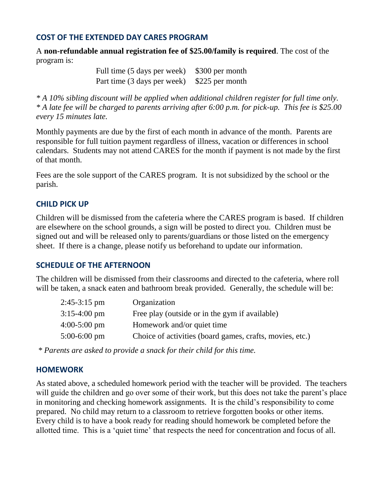#### **COST OF THE EXTENDED DAY CARES PROGRAM**

A **non-refundable annual registration fee of \$25.00/family is required**. The cost of the program is:

> Full time (5 days per week) \$300 per month Part time (3 days per week) \$225 per month

*\* A 10% sibling discount will be applied when additional children register for full time only. \* A late fee will be charged to parents arriving after 6:00 p.m. for pick-up. This fee is \$25.00 every 15 minutes late.*

Monthly payments are due by the first of each month in advance of the month. Parents are responsible for full tuition payment regardless of illness, vacation or differences in school calendars. Students may not attend CARES for the month if payment is not made by the first of that month.

Fees are the sole support of the CARES program. It is not subsidized by the school or the parish.

#### **CHILD PICK UP**

Children will be dismissed from the cafeteria where the CARES program is based. If children are elsewhere on the school grounds, a sign will be posted to direct you. Children must be signed out and will be released only to parents/guardians or those listed on the emergency sheet. If there is a change, please notify us beforehand to update our information.

#### **SCHEDULE OF THE AFTERNOON**

The children will be dismissed from their classrooms and directed to the cafeteria, where roll will be taken, a snack eaten and bathroom break provided. Generally, the schedule will be:

| $2:45-3:15$ pm         | Organization                                             |
|------------------------|----------------------------------------------------------|
| $3:15-4:00 \text{ pm}$ | Free play (outside or in the gym if available)           |
| $4:00-5:00 \text{ pm}$ | Homework and/or quiet time                               |
| $5:00-6:00$ pm         | Choice of activities (board games, crafts, movies, etc.) |

*\* Parents are asked to provide a snack for their child for this time.* 

#### **HOMEWORK**

As stated above, a scheduled homework period with the teacher will be provided. The teachers will guide the children and go over some of their work, but this does not take the parent's place in monitoring and checking homework assignments. It is the child's responsibility to come prepared. No child may return to a classroom to retrieve forgotten books or other items. Every child is to have a book ready for reading should homework be completed before the allotted time. This is a 'quiet time' that respects the need for concentration and focus of all.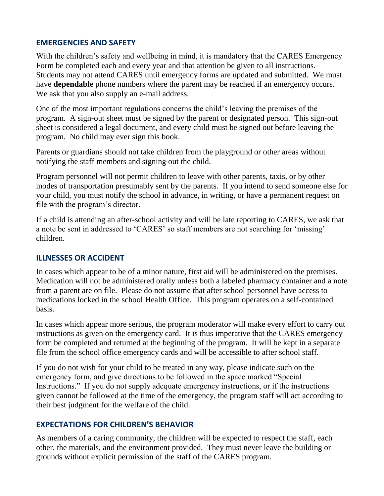#### **EMERGENCIES AND SAFETY**

With the children's safety and wellbeing in mind, it is mandatory that the CARES Emergency Form be completed each and every year and that attention be given to all instructions. Students may not attend CARES until emergency forms are updated and submitted. We must have **dependable** phone numbers where the parent may be reached if an emergency occurs. We ask that you also supply an e-mail address.

One of the most important regulations concerns the child's leaving the premises of the program. A sign-out sheet must be signed by the parent or designated person. This sign-out sheet is considered a legal document, and every child must be signed out before leaving the program. No child may ever sign this book.

Parents or guardians should not take children from the playground or other areas without notifying the staff members and signing out the child.

Program personnel will not permit children to leave with other parents, taxis, or by other modes of transportation presumably sent by the parents. If you intend to send someone else for your child, you must notify the school in advance, in writing, or have a permanent request on file with the program's director.

If a child is attending an after-school activity and will be late reporting to CARES, we ask that a note be sent in addressed to 'CARES' so staff members are not searching for 'missing' children.

## **ILLNESSES OR ACCIDENT**

In cases which appear to be of a minor nature, first aid will be administered on the premises. Medication will not be administered orally unless both a labeled pharmacy container and a note from a parent are on file. Please do not assume that after school personnel have access to medications locked in the school Health Office. This program operates on a self-contained basis.

In cases which appear more serious, the program moderator will make every effort to carry out instructions as given on the emergency card. It is thus imperative that the CARES emergency form be completed and returned at the beginning of the program. It will be kept in a separate file from the school office emergency cards and will be accessible to after school staff.

If you do not wish for your child to be treated in any way, please indicate such on the emergency form, and give directions to be followed in the space marked "Special Instructions." If you do not supply adequate emergency instructions, or if the instructions given cannot be followed at the time of the emergency, the program staff will act according to their best judgment for the welfare of the child.

# **EXPECTATIONS FOR CHILDREN'S BEHAVIOR**

As members of a caring community, the children will be expected to respect the staff, each other, the materials, and the environment provided. They must never leave the building or grounds without explicit permission of the staff of the CARES program.